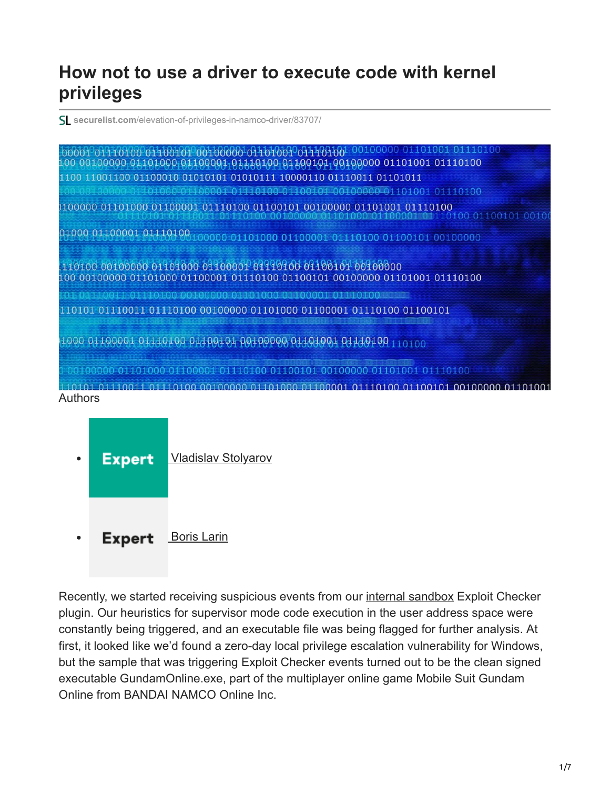## **How not to use a driver to execute code with kernel privileges**

**securelist.com**[/elevation-of-privileges-in-namco-driver/83707/](https://securelist.com/elevation-of-privileges-in-namco-driver/83707/)

| <b>OLLOGIE O MELORICO</b><br>00001 01110100 01100101 00100000 01101001 01110100                                                             |
|---------------------------------------------------------------------------------------------------------------------------------------------|
| 100 00100000 01101000 01100001 01110000 01 000 011000 01000 01101001 01110100                                                               |
| 1100 11001100 01100010 01010101 01010111 10000110 01110011 01101011                                                                         |
| L000 01 L00001 01110100 01100101 00100000 01101001 01110100                                                                                 |
| 0100000 01101000 01100001 01110100 01100101 00100000 01101001 01110100                                                                      |
| 01000 01100001 0111010010000 01101000 01100001 01110100 01100101 00100000                                                                   |
| 110100 00100000 01101000 01100001 01110100 01100101 00100000<br>100 00100000 01101000 01100001 01110100 01100101 00100000 01101001 01110100 |
|                                                                                                                                             |
| a a la tela da kolo la sua la fotolo (o totolo su sola dol a lo la sua solo fotolo la la sua la sua dio la kol                              |
| 110101 01110011 01110100 00100000 01101000 01100001 01110100 01100101                                                                       |
| 1000 01100001 01110100 01100101 00100000 01101001 01140100 110100                                                                           |
|                                                                                                                                             |
| 110101 01110011 01110100 00100000 01101000 01100001 01110100 01100101 00100000 01101001<br>Authors                                          |

**Expert** [Vladislav Stolyarov](https://securelist.com/author/vladislavstolyarov/)  $\bullet$ **Expert** [Boris Larin](https://securelist.com/author/borislarin/)  $\bullet$ 

Recently, we started receiving suspicious events from our [internal sandbox](https://securelist.com/a-modern-hypervisor-as-a-basis-for-a-sandbox/81902/) Exploit Checker plugin. Our heuristics for supervisor mode code execution in the user address space were constantly being triggered, and an executable file was being flagged for further analysis. At first, it looked like we'd found a zero-day local privilege escalation vulnerability for Windows, but the sample that was triggering Exploit Checker events turned out to be the clean signed executable GundamOnline.exe, part of the multiplayer online game Mobile Suit Gundam Online from BANDAI NAMCO Online Inc.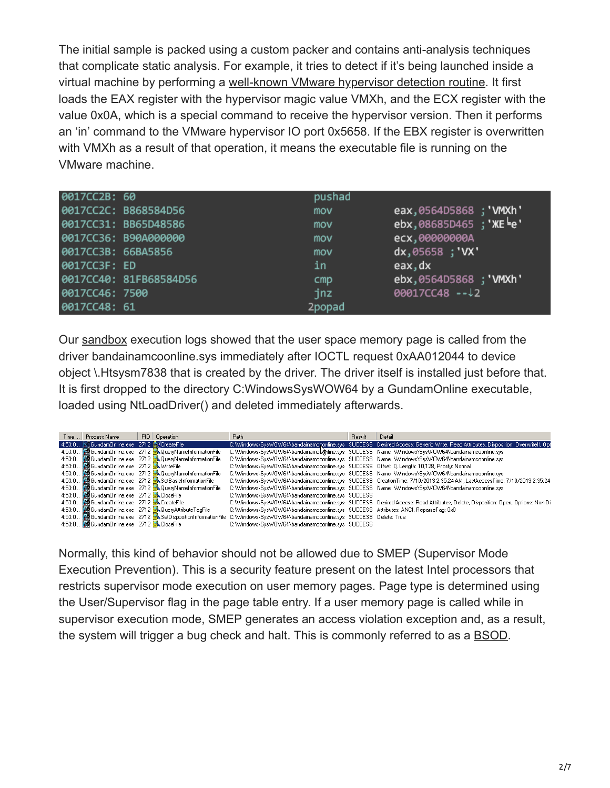The initial sample is packed using a custom packer and contains anti-analysis techniques that complicate static analysis. For example, it tries to detect if it's being launched inside a virtual machine by performing a [well-known VMware hypervisor detection routine.](https://kb.vmware.com/s/article/1009458) It first loads the EAX register with the hypervisor magic value VMXh, and the ECX register with the value 0x0A, which is a special command to receive the hypervisor version. Then it performs an 'in' command to the VMware hypervisor IO port 0x5658. If the EBX register is overwritten with VMXh as a result of that operation, it means the executable file is running on the VMware machine.

| 0017CC2B: 60       |                        | pushad |                            |
|--------------------|------------------------|--------|----------------------------|
|                    | 0017CC2C: B868584D56   | mov    | eax, 0564D5868; 'WMXh'     |
|                    | 0017CC31: BB65D48586   | mov    | $ebx,08685D465$ ; 'XE $e'$ |
|                    | 0017CC36: B90A000000   | mov    | ecx,00000000A              |
| 0017CC3B: 66BA5856 |                        | mov    | dx,05658; 'VX'             |
| 0017CC3F: ED       |                        | in     | eax, dx                    |
|                    | 0017CC40: 81FB68584D56 | cmp    | ebx,0564D5868; 'WMXh'      |
| 0017CC46: 7500     |                        | jnz    | $00017CC48 - 12$           |
| 0017CC48: 61       |                        | 2popad |                            |

Our [sandbox](https://encyclopedia.kaspersky.com/glossary/sandbox/?utm_source=securelist&utm_medium=blog&utm_campaign=termin-explanation) execution logs showed that the user space memory page is called from the driver bandainamcoonline.sys immediately after IOCTL request 0xAA012044 to device object \.Htsysm7838 that is created by the driver. The driver itself is installed just before that. It is first dropped to the directory C:WindowsSysWOW64 by a GundamOnline executable, loaded using NtLoadDriver() and deleted immediately afterwards.

| Time  Process Name                                                         | PID   Operation                                                      | Path                                                                                                                          | Result | Detail                                                                                                                            |
|----------------------------------------------------------------------------|----------------------------------------------------------------------|-------------------------------------------------------------------------------------------------------------------------------|--------|-----------------------------------------------------------------------------------------------------------------------------------|
| 4:53:0 @GundamOnline.exe 2712 @CreateFile                                  |                                                                      |                                                                                                                               |        | C:\\Windows\Sys\WOW64\bandainamononline.sys SUCCESS Desired Access: Generic Write, Read Attributes, Disposition: Overwritelf, Opt |
|                                                                            | 4:53:0 <b>M</b> GundamOnline.exe 2712 A QueryNameInformationFile     |                                                                                                                               |        | C:\\/\/indows\Sys\/VO\/64\bandainamck\thine.sys SUCCESS Name:\\/\/indows\Sys\/O\/64\bandainamcoonline.sys                         |
|                                                                            | 4:53:0 <b>M</b> Gundam Online.exe 2712 A Query Name Information File |                                                                                                                               |        | C:\\/\/indows\Sys\/VO\/64\bandainamcoonline.sys SUCCESS Name:\\/\/indows\Sys\/VO\/64\bandainamcoonline.sys                        |
| 4:53:0 图 Gundam Online.exe 2712 WriteFile                                  |                                                                      | C:\Windows\Svs\WOW64\bandainamcoonline.svs SUCCESS Offset: 0, Length: 10,128, Priority: Normal                                |        |                                                                                                                                   |
|                                                                            | 4:53:0 <b>A</b> Gundam Online.exe 2712 A Query Name Information File |                                                                                                                               |        | C:\\/\/indows\Sys\/VO\/64\bandainamcoonline.sys SUCCESS Name:\\/\/indows\Sys\/O\/64\bandainamcoonline.sys                         |
|                                                                            | 4:53:0 <b>M</b> GundamOnline.exe 2712 SetBasicInformationFile        |                                                                                                                               |        | C: \\/indows\Sys\/O\/64\bandainamcoonline.sys SUCCESS CreationTime: 7/10/2013 2:35:24 AM, LastAccessTime: 7/10/2013 2:35:24       |
|                                                                            | 4:53:0 <b>A</b> GundamOnline.exe 2712 AQueryNameInformationFile      |                                                                                                                               |        | C:\\/\indows\Svs\/\O\\/64\bandainamcoonline.svs SUCCESS Name:\\/\indows\Svs\/\O\\/64\bandainamcoonline.svs                        |
| 4:53:0     153:0     153:0   153:0   153:0   153:0   153:0   153:0   153:0 |                                                                      | C:\Windows\Svs\VOW64\bandainamcoonline.svs SUCCESS                                                                            |        |                                                                                                                                   |
| 4:53:0 <b>Subject</b> Gundam Online.exe 2712 A CreateFile                  |                                                                      |                                                                                                                               |        | C: Windows\Sys\WOW64\bandainamcoonline.sys SUCCESS Desired Access: Read Attributes, Delete, Disposition: Open, Options: Non-Di    |
|                                                                            | 4:53:0 <b>磷GundamOnline.exe</b> 2712 AQueryAttributeTagFile          | C:\\/indows\Sys\/O\/64\bandainamcoonline.sys SUCCESS Attributes: ANCI, ReparseTag: 0x0                                        |        |                                                                                                                                   |
|                                                                            |                                                                      | 4:53:0 WiGundamOnline.exe 2712 - SetDispositionInformationFile C:\Windows\SysWOW64\bandainamcoonline.sys SUCCESS Delete: True |        |                                                                                                                                   |
| 4:53:0 M Gundam Online.exe 2712 A CloseFile                                |                                                                      | C:\Windows\Sys\/OW64\bandainamcoonline.sys SUCCESS                                                                            |        |                                                                                                                                   |

Normally, this kind of behavior should not be allowed due to SMEP (Supervisor Mode Execution Prevention). This is a security feature present on the latest Intel processors that restricts supervisor mode execution on user memory pages. Page type is determined using the User/Supervisor flag in the page table entry. If a user memory page is called while in supervisor execution mode, SMEP generates an access violation exception and, as a result, the system will trigger a bug check and halt. This is commonly referred to as a [BSOD.](https://encyclopedia.kaspersky.com/glossary/blue-screen-of-death-bsod/?utm_source=securelist&utm_medium=blog&utm_campaign=termin-explanation)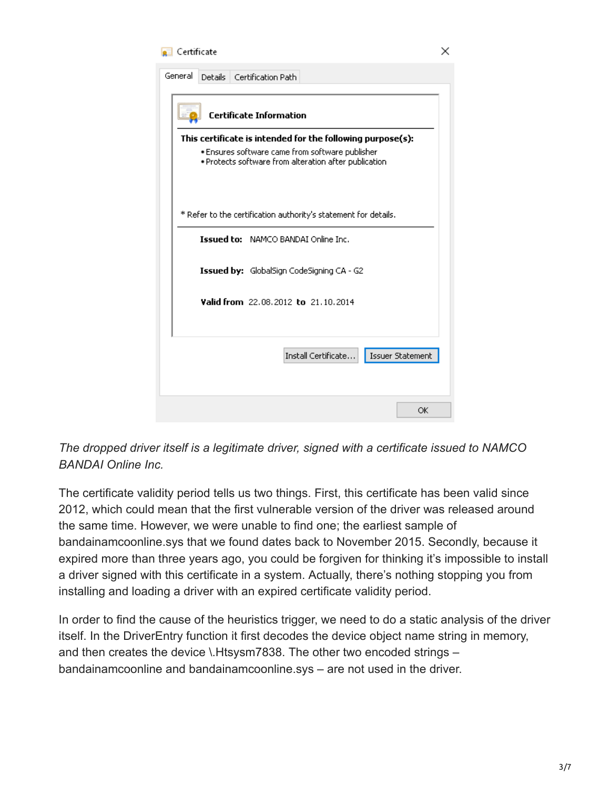## Certificate

| General                                                                                                                                                                | <b>Details</b><br>Certification Path                            |  |  |  |  |  |
|------------------------------------------------------------------------------------------------------------------------------------------------------------------------|-----------------------------------------------------------------|--|--|--|--|--|
| <b>Certificate Information</b>                                                                                                                                         |                                                                 |  |  |  |  |  |
| This certificate is intended for the following purpose(s):<br>• Ensures software came from software publisher<br>. Protects software from alteration after publication |                                                                 |  |  |  |  |  |
|                                                                                                                                                                        | * Refer to the certification authority's statement for details. |  |  |  |  |  |
|                                                                                                                                                                        | <b>Issued to:</b> NAMCO BANDAI Online Inc.                      |  |  |  |  |  |
|                                                                                                                                                                        | <b>Issued by:</b> GlobalSign CodeSigning CA - G2                |  |  |  |  |  |
|                                                                                                                                                                        | Valid from 22.08.2012 to 21.10.2014                             |  |  |  |  |  |
|                                                                                                                                                                        |                                                                 |  |  |  |  |  |
|                                                                                                                                                                        | Install Certificate<br>Issuer Statement                         |  |  |  |  |  |
|                                                                                                                                                                        |                                                                 |  |  |  |  |  |
|                                                                                                                                                                        | ОК                                                              |  |  |  |  |  |

*The dropped driver itself is a legitimate driver, signed with a certificate issued to NAMCO BANDAI Online Inc.*

The certificate validity period tells us two things. First, this certificate has been valid since 2012, which could mean that the first vulnerable version of the driver was released around the same time. However, we were unable to find one; the earliest sample of bandainamcoonline.sys that we found dates back to November 2015. Secondly, because it expired more than three years ago, you could be forgiven for thinking it's impossible to install a driver signed with this certificate in a system. Actually, there's nothing stopping you from installing and loading a driver with an expired certificate validity period.

In order to find the cause of the heuristics trigger, we need to do a static analysis of the driver itself. In the DriverEntry function it first decodes the device object name string in memory, and then creates the device \.Htsysm7838. The other two encoded strings – bandainamcoonline and bandainamcoonline.sys – are not used in the driver.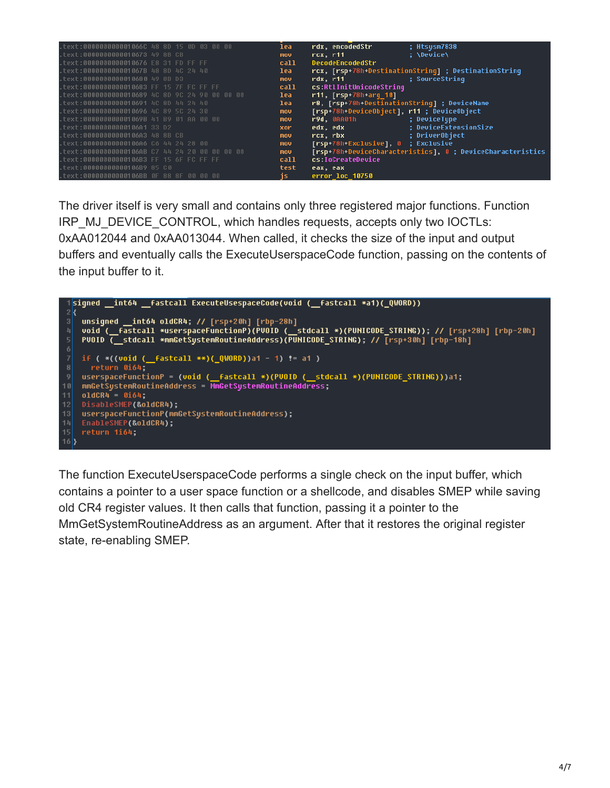| .text:000000000001066C 48 8D 15 0D 03 00 00    | lea.       | rdx, encodedStr<br>; Htsysm7838                                                                                                             |
|------------------------------------------------|------------|---------------------------------------------------------------------------------------------------------------------------------------------|
| .text:0000000000010673 49 8B CB                | mov        | : \Device\<br>rcx. r11                                                                                                                      |
| .text:0000000000010676 E8 31 FD FF FF          | call       | <b>DecodeEncodedStr</b>                                                                                                                     |
| .text:000000000001067B 48 8D 4C 24 40          | lea        | rcx, [rsp+78h-DestinationStrinq] ; DestinationStrinq                                                                                        |
| .text:0000000000010680 49 8B D3                | <b>mov</b> | ; SourceString<br>rdx, r11                                                                                                                  |
| .text:0000000000010683 FF 15 7F FC FF FF       | call       | cs:RtlInitUnicodeString                                                                                                                     |
| .text:0000000000010689 4C 8D 9C 24 90 00 00 00 | lea        | r11, [rsp+78h+arq 10]                                                                                                                       |
| .text:0000000000010691 4C 8D 44 24 40          | lea        | r8, [rsp+78h-DestinationStrinq] ; DeviceName                                                                                                |
| .text:0000000000010696 4C 89 5C 24 30          | nov.       | [rsp+78h-DeviceObject], r11 ; DeviceObject                                                                                                  |
| .text:000000000001069B 41 B9 01 AA 00 00       | mov        | r9d, 0AA01h and a control of the state of the state of the state of the state of the state of the state of the<br>: DeviceTupe              |
| .text:00000000000106A1 33 D2                   | xor        | : DeviceExtensionSize<br>edx, edx                                                                                                           |
| .text:00000000000106A3 48 8B CB                | mov        | ; DriverObject<br>rcx.rbx<br>and the state of the state of the state of the state of the state of the state of the state of the state of th |
| .text:00000000000106A6 C6 44 24 28 00          | <b>nov</b> | [rsp+78h-Exclusive], 0 ; Exclusive                                                                                                          |
| .text:00000000000106AB C7 44 24 20 00 00 00 00 | <b>MOV</b> | [rsp+78h+DeviceCharacteristics], 0 ; DeviceCharacteristics                                                                                  |
| .text:00000000000106B3 FF 15 6F FC FF FF       | call       | cs:IoCreateDevice                                                                                                                           |
| .text:00000000000106B9 85 C0                   | test       | eax, eax                                                                                                                                    |
| .text:00000000000106BB OF 88 8F 00 00 00       | js:        | error loc 10750                                                                                                                             |

The driver itself is very small and contains only three registered major functions. Function IRP\_MJ\_DEVICE\_CONTROL, which handles requests, accepts only two IOCTLs: 0xAA012044 and 0xAA013044. When called, it checks the size of the input and output buffers and eventually calls the ExecuteUserspaceCode function, passing on the contents of the input buffer to it.



The function ExecuteUserspaceCode performs a single check on the input buffer, which contains a pointer to a user space function or a shellcode, and disables SMEP while saving old CR4 register values. It then calls that function, passing it a pointer to the MmGetSystemRoutineAddress as an argument. After that it restores the original register state, re-enabling SMEP.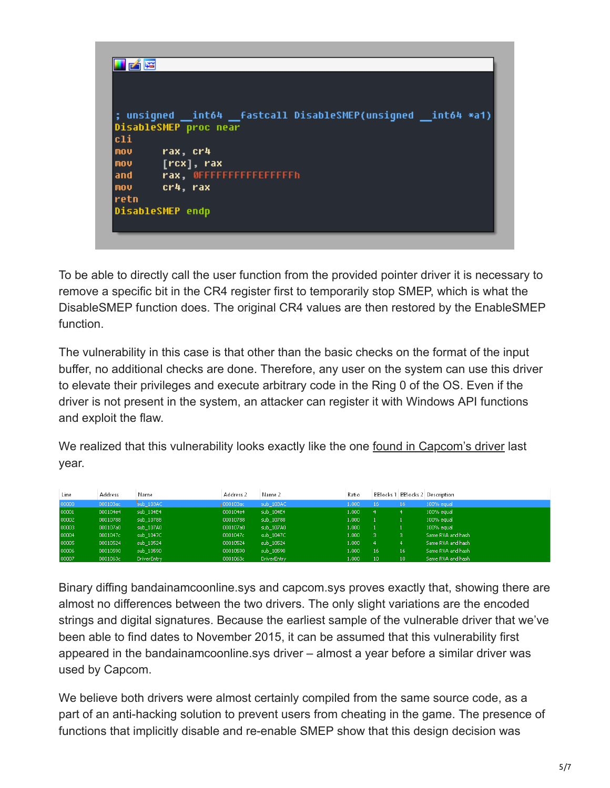

To be able to directly call the user function from the provided pointer driver it is necessary to remove a specific bit in the CR4 register first to temporarily stop SMEP, which is what the DisableSMEP function does. The original CR4 values are then restored by the EnableSMEP function.

The vulnerability in this case is that other than the basic checks on the format of the input buffer, no additional checks are done. Therefore, any user on the system can use this driver to elevate their privileges and execute arbitrary code in the Ring 0 of the OS. Even if the driver is not present in the system, an attacker can register it with Windows API functions and exploit the flaw.

We realized that this vulnerability looks exactly like the one [found in Capcom's driver](https://www.theregister.co.uk/2016/09/23/capcom_street_fighter_v/) last year.

| Line  | Address  | Name               | Address 2 | Name 2             | Ratio |     |    | <b>BBlocks 1 BBlocks 2 Description</b> |
|-------|----------|--------------------|-----------|--------------------|-------|-----|----|----------------------------------------|
| 00000 | 000103ac | sub 103AC          | 000103ac  | sub 103AC          | 1.000 | 16  | 16 | 100% equal                             |
| 00001 | 000104e4 | sub 104E4          | 000104e4  | sub 104E4          | 1.000 | -4. | 4  | 100% equal                             |
| 00002 | 00010788 | sub 10788          | 00010788  | sub 10788          | 1.000 |     |    | 100% equal                             |
| 00003 | 000107a0 | sub 107A0          | 000107a0  | sub 107A0          | 1.000 |     |    | 100% equal                             |
| 00004 | 0001047c | sub 1047C          | 0001047c  | sub 1047C          | 1.000 |     | з. | Same RVA and hash                      |
| 00005 | 00010524 | sub 10524          | 00010524  | sub 10524          | 1.000 | -4  | 4  | Same RVA and hash                      |
| 00006 | 00010590 | sub 10590          | 00010590  | sub 10590          | 1.000 | 16  | 16 | Same RVA and hash                      |
| 00007 | 0001063c | <b>DriverEntry</b> | 0001063c  | <b>DriverEntry</b> | 1.000 | 10  | 10 | Same RVA and hash                      |

Binary diffing bandainamcoonline.sys and capcom.sys proves exactly that, showing there are almost no differences between the two drivers. The only slight variations are the encoded strings and digital signatures. Because the earliest sample of the vulnerable driver that we've been able to find dates to November 2015, it can be assumed that this vulnerability first appeared in the bandainamcoonline.sys driver – almost a year before a similar driver was used by Capcom.

We believe both drivers were almost certainly compiled from the same source code, as a part of an anti-hacking solution to prevent users from cheating in the game. The presence of functions that implicitly disable and re-enable SMEP show that this design decision was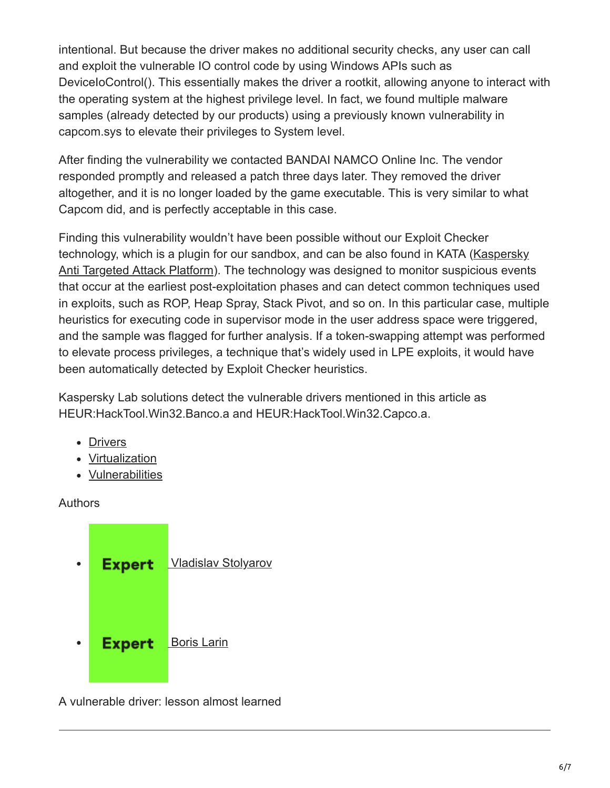intentional. But because the driver makes no additional security checks, any user can call and exploit the vulnerable IO control code by using Windows APIs such as DeviceIoControl(). This essentially makes the driver a rootkit, allowing anyone to interact with the operating system at the highest privilege level. In fact, we found multiple malware samples (already detected by our products) using a previously known vulnerability in capcom.sys to elevate their privileges to System level.

After finding the vulnerability we contacted BANDAI NAMCO Online Inc. The vendor responded promptly and released a patch three days later. They removed the driver altogether, and it is no longer loaded by the game executable. This is very similar to what Capcom did, and is perfectly acceptable in this case.

Finding this vulnerability wouldn't have been possible without our Exploit Checker [technology, which is a plugin for our sandbox, and can be also found in KATA \(Kaspersky](https://www.kaspersky.com/enterprise-security/anti-targeted-attack-platform) Anti Targeted Attack Platform). The technology was designed to monitor suspicious events that occur at the earliest post-exploitation phases and can detect common techniques used in exploits, such as ROP, Heap Spray, Stack Pivot, and so on. In this particular case, multiple heuristics for executing code in supervisor mode in the user address space were triggered, and the sample was flagged for further analysis. If a token-swapping attempt was performed to elevate process privileges, a technique that's widely used in LPE exploits, it would have been automatically detected by Exploit Checker heuristics.

Kaspersky Lab solutions detect the vulnerable drivers mentioned in this article as HEUR:HackTool.Win32.Banco.a and HEUR:HackTool.Win32.Capco.a.

- [Drivers](https://securelist.com/tag/drivers/)
- [Virtualization](https://securelist.com/tag/virtualization/)
- [Vulnerabilities](https://securelist.com/tag/vulnerabilities/)

Authors



A vulnerable driver: lesson almost learned